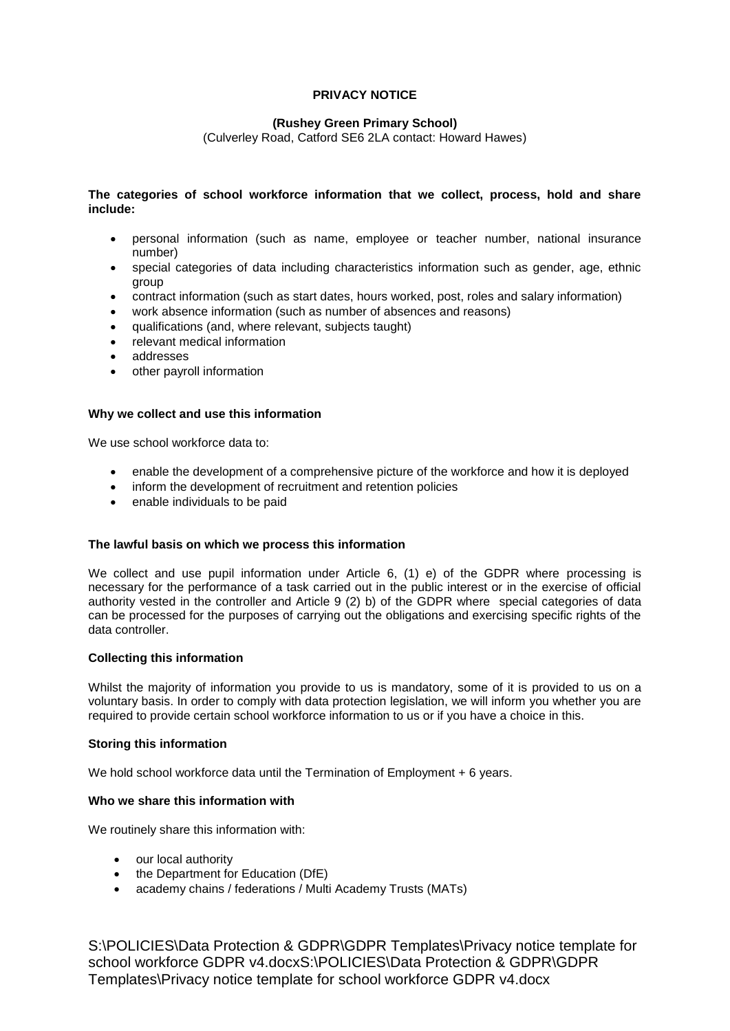# **PRIVACY NOTICE**

## **(Rushey Green Primary School)**

(Culverley Road, Catford SE6 2LA contact: Howard Hawes)

## **The categories of school workforce information that we collect, process, hold and share include:**

- personal information (such as name, employee or teacher number, national insurance number)
- special categories of data including characteristics information such as gender, age, ethnic group
- contract information (such as start dates, hours worked, post, roles and salary information)
- work absence information (such as number of absences and reasons)
- qualifications (and, where relevant, subjects taught)
- relevant medical information
- addresses
- other payroll information

## **Why we collect and use this information**

We use school workforce data to:

- enable the development of a comprehensive picture of the workforce and how it is deployed
- inform the development of recruitment and retention policies
- enable individuals to be paid

#### **The lawful basis on which we process this information**

We collect and use pupil information under Article 6, (1) e) of the GDPR where processing is necessary for the performance of a task carried out in the public interest or in the exercise of official authority vested in the controller and Article 9 (2) b) of the GDPR where special categories of data can be processed for the purposes of carrying out the obligations and exercising specific rights of the data controller.

#### **Collecting this information**

Whilst the majority of information you provide to us is mandatory, some of it is provided to us on a voluntary basis. In order to comply with data protection legislation, we will inform you whether you are required to provide certain school workforce information to us or if you have a choice in this.

#### **Storing this information**

We hold school workforce data until the Termination of Employment + 6 years.

## **Who we share this information with**

We routinely share this information with:

- our local authority
- the Department for Education (DfE)
- academy chains / federations / Multi Academy Trusts (MATs)

S:\POLICIES\Data Protection & GDPR\GDPR Templates\Privacy notice template for school workforce GDPR v4.docxS:\POLICIES\Data Protection & GDPR\GDPR Templates\Privacy notice template for school workforce GDPR v4.docx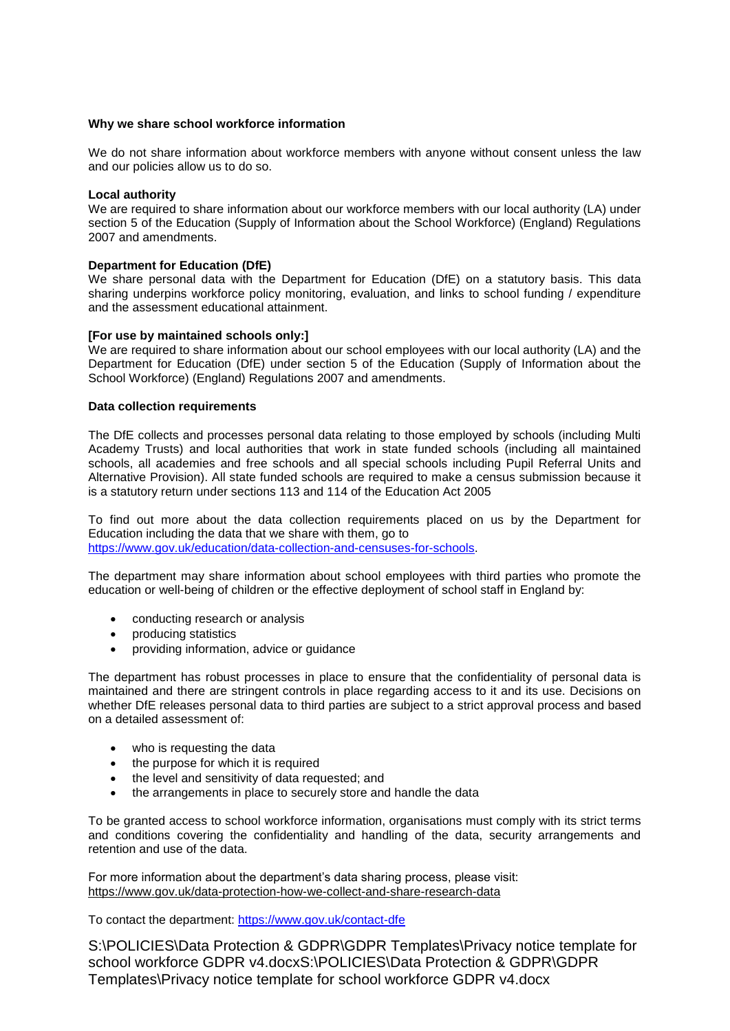#### **Why we share school workforce information**

We do not share information about workforce members with anyone without consent unless the law and our policies allow us to do so.

#### **Local authority**

We are required to share information about our workforce members with our local authority (LA) under section 5 of the Education (Supply of Information about the School Workforce) (England) Regulations 2007 and amendments.

## **Department for Education (DfE)**

We share personal data with the Department for Education (DfE) on a statutory basis. This data sharing underpins workforce policy monitoring, evaluation, and links to school funding / expenditure and the assessment educational attainment.

## **[For use by maintained schools only:]**

We are required to share information about our school employees with our local authority (LA) and the Department for Education (DfE) under section 5 of the Education (Supply of Information about the School Workforce) (England) Regulations 2007 and amendments.

## **Data collection requirements**

The DfE collects and processes personal data relating to those employed by schools (including Multi Academy Trusts) and local authorities that work in state funded schools (including all maintained schools, all academies and free schools and all special schools including Pupil Referral Units and Alternative Provision). All state funded schools are required to make a census submission because it is a statutory return under sections 113 and 114 of the Education Act 2005

To find out more about the data collection requirements placed on us by the Department for Education including the data that we share with them, go to [https://www.gov.uk/education/data-collection-and-censuses-for-schools.](https://www.gov.uk/education/data-collection-and-censuses-for-schools)

The department may share information about school employees with third parties who promote the education or well-being of children or the effective deployment of school staff in England by:

- conducting research or analysis
- producing statistics
- providing information, advice or guidance

The department has robust processes in place to ensure that the confidentiality of personal data is maintained and there are stringent controls in place regarding access to it and its use. Decisions on whether DfE releases personal data to third parties are subject to a strict approval process and based on a detailed assessment of:

- who is requesting the data
- the purpose for which it is required
- the level and sensitivity of data requested; and
- the arrangements in place to securely store and handle the data

To be granted access to school workforce information, organisations must comply with its strict terms and conditions covering the confidentiality and handling of the data, security arrangements and retention and use of the data.

For more information about the department's data sharing process, please visit: <https://www.gov.uk/data-protection-how-we-collect-and-share-research-data>

To contact the department:<https://www.gov.uk/contact-dfe>

S:\POLICIES\Data Protection & GDPR\GDPR Templates\Privacy notice template for school workforce GDPR v4.docxS:\POLICIES\Data Protection & GDPR\GDPR Templates\Privacy notice template for school workforce GDPR v4.docx